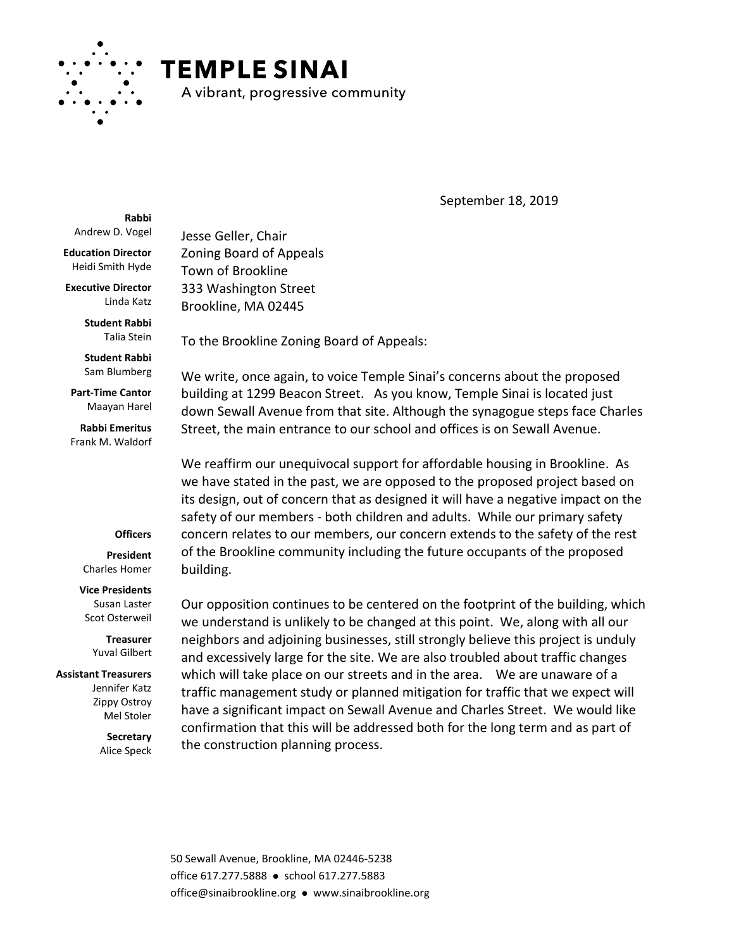

## **TEMPLE SINAI**

A vibrant, progressive community

September 18, 2019

**Rabbi** Andrew D. Vogel

**Education Director** Heidi Smith Hyde

**Executive Director** Linda Katz

> **Student Rabbi** Talia Stein

**Student Rabbi** Sam Blumberg

**Part-Time Cantor** Maayan Harel

**Rabbi Emeritus** Frank M. Waldorf

## **Officers**

**President** Charles Homer

**Vice Presidents** Susan Laster Scot Osterweil

> **Treasurer** Yuval Gilbert

**Assistant Treasurers** Jennifer Katz Zippy Ostroy Mel Stoler

> **Secretary** Alice Speck

Jesse Geller, Chair Zoning Board of Appeals Town of Brookline 333 Washington Street Brookline, MA 02445

To the Brookline Zoning Board of Appeals:

We write, once again, to voice Temple Sinai's concerns about the proposed building at 1299 Beacon Street. As you know, Temple Sinai is located just down Sewall Avenue from that site. Although the synagogue steps face Charles Street, the main entrance to our school and offices is on Sewall Avenue.

We reaffirm our unequivocal support for affordable housing in Brookline. As we have stated in the past, we are opposed to the proposed project based on its design, out of concern that as designed it will have a negative impact on the safety of our members - both children and adults. While our primary safety concern relates to our members, our concern extends to the safety of the rest of the Brookline community including the future occupants of the proposed building.

Our opposition continues to be centered on the footprint of the building, which we understand is unlikely to be changed at this point. We, along with all our neighbors and adjoining businesses, still strongly believe this project is unduly and excessively large for the site. We are also troubled about traffic changes which will take place on our streets and in the area. We are unaware of a traffic management study or planned mitigation for traffic that we expect will have a significant impact on Sewall Avenue and Charles Street. We would like confirmation that this will be addressed both for the long term and as part of the construction planning process.